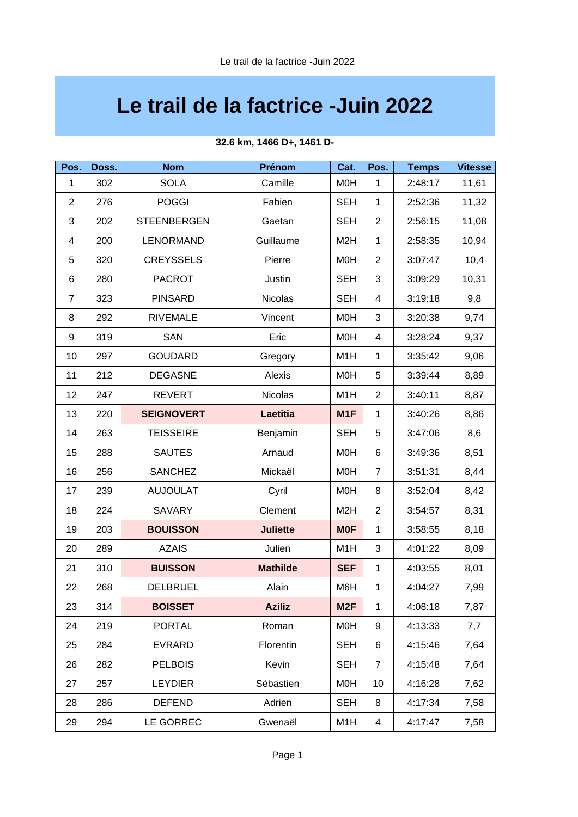## **Le trail de la factrice -Juin 2022**

| Pos.           | Doss. | <b>Nom</b>         | Prénom          | Cat.             | Pos.           | <b>Temps</b> | <b>Vitesse</b> |
|----------------|-------|--------------------|-----------------|------------------|----------------|--------------|----------------|
| 1              | 302   | <b>SOLA</b>        | Camille         | M0H              | $\mathbf{1}$   | 2:48:17      | 11,61          |
| $\overline{c}$ | 276   | <b>POGGI</b>       | Fabien          | <b>SEH</b>       | $\mathbf{1}$   | 2:52:36      | 11,32          |
| 3              | 202   | <b>STEENBERGEN</b> | Gaetan          | <b>SEH</b>       | $\overline{2}$ | 2:56:15      | 11,08          |
| 4              | 200   | LENORMAND          | Guillaume       | M <sub>2</sub> H | $\mathbf{1}$   | 2:58:35      | 10,94          |
| 5              | 320   | <b>CREYSSELS</b>   | Pierre          | M0H              | $\overline{2}$ | 3:07:47      | 10,4           |
| $\,6$          | 280   | <b>PACROT</b>      | <b>Justin</b>   | <b>SEH</b>       | 3              | 3:09:29      | 10,31          |
| $\overline{7}$ | 323   | <b>PINSARD</b>     | <b>Nicolas</b>  | <b>SEH</b>       | 4              | 3:19:18      | 9,8            |
| 8              | 292   | <b>RIVEMALE</b>    | Vincent         | M0H              | 3              | 3:20:38      | 9,74           |
| 9              | 319   | <b>SAN</b>         | Eric            | M0H              | $\overline{4}$ | 3:28:24      | 9,37           |
| 10             | 297   | <b>GOUDARD</b>     | Gregory         | M1H              | $\mathbf{1}$   | 3:35:42      | 9,06           |
| 11             | 212   | <b>DEGASNE</b>     | Alexis          | M0H              | 5              | 3:39:44      | 8,89           |
| 12             | 247   | <b>REVERT</b>      | <b>Nicolas</b>  | M1H              | $\overline{c}$ | 3:40:11      | 8,87           |
| 13             | 220   | <b>SEIGNOVERT</b>  | <b>Laetitia</b> | M1F              | $\mathbf{1}$   | 3:40:26      | 8,86           |
| 14             | 263   | <b>TEISSEIRE</b>   | Benjamin        | <b>SEH</b>       | 5              | 3:47:06      | 8,6            |
| 15             | 288   | <b>SAUTES</b>      | Arnaud          | M <sub>O</sub> H | 6              | 3:49:36      | 8,51           |
| 16             | 256   | <b>SANCHEZ</b>     | Mickaël         | M0H              | $\overline{7}$ | 3:51:31      | 8,44           |
| 17             | 239   | <b>AUJOULAT</b>    | Cyril           | M0H              | 8              | 3:52:04      | 8,42           |
| 18             | 224   | <b>SAVARY</b>      | Clement         | M <sub>2</sub> H | $\overline{c}$ | 3:54:57      | 8,31           |
| 19             | 203   | <b>BOUISSON</b>    | <b>Juliette</b> | <b>MOF</b>       | $\mathbf{1}$   | 3:58:55      | 8,18           |
| 20             | 289   | <b>AZAIS</b>       | Julien          | M1H              | 3              | 4:01:22      | 8,09           |
| 21             | 310   | <b>BUISSON</b>     | <b>Mathilde</b> | <b>SEF</b>       | $\mathbf{1}$   | 4:03:55      | 8,01           |
| 22             | 268   | <b>DELBRUEL</b>    | Alain           | M6H              | $\mathbf{1}$   | 4:04:27      | 7,99           |
| 23             | 314   | <b>BOISSET</b>     | <b>Aziliz</b>   | M <sub>2F</sub>  | $\mathbf{1}$   | 4:08:18      | 7,87           |
| 24             | 219   | <b>PORTAL</b>      | Roman           | <b>MOH</b>       | 9              | 4:13:33      | 7,7            |
| 25             | 284   | <b>EVRARD</b>      | Florentin       | <b>SEH</b>       | 6              | 4:15:46      | 7,64           |
| 26             | 282   | <b>PELBOIS</b>     | Kevin           | <b>SEH</b>       | $\overline{7}$ | 4:15:48      | 7,64           |
| 27             | 257   | <b>LEYDIER</b>     | Sébastien       | <b>MOH</b>       | 10             | 4:16:28      | 7,62           |
| 28             | 286   | <b>DEFEND</b>      | Adrien          | <b>SEH</b>       | 8              | 4:17:34      | 7,58           |
| 29             | 294   | LE GORREC          | Gwenaël         | M1H              | $\overline{4}$ | 4:17:47      | 7,58           |

### **32.6 km, 1466 D+, 1461 D-**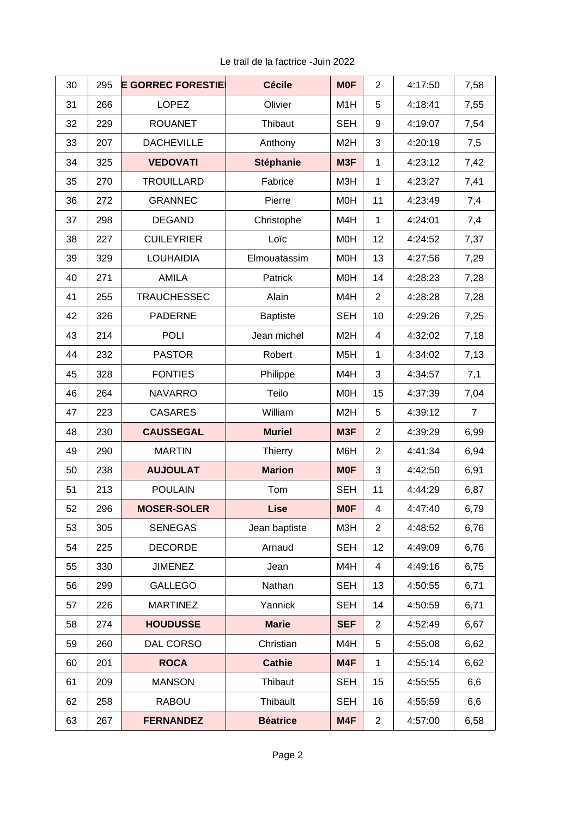| 30 | 295 | <b>E GORREC FORESTIE</b> | <b>Cécile</b>    | <b>MOF</b>       | $\overline{c}$ | 4:17:50 | 7,58           |
|----|-----|--------------------------|------------------|------------------|----------------|---------|----------------|
| 31 | 266 | <b>LOPEZ</b>             | Olivier          | M1H              | 5              | 4:18:41 | 7,55           |
| 32 | 229 | <b>ROUANET</b>           | Thibaut          | <b>SEH</b>       | 9              | 4:19:07 | 7,54           |
| 33 | 207 | <b>DACHEVILLE</b>        | Anthony          | M <sub>2</sub> H | 3              | 4:20:19 | 7,5            |
| 34 | 325 | <b>VEDOVATI</b>          | <b>Stéphanie</b> | M3F              | $\mathbf{1}$   | 4:23:12 | 7,42           |
| 35 | 270 | <b>TROUILLARD</b>        | Fabrice          | M3H              | $\mathbf{1}$   | 4:23:27 | 7,41           |
| 36 | 272 | <b>GRANNEC</b>           | Pierre           | M0H              | 11             | 4:23:49 | 7,4            |
| 37 | 298 | <b>DEGAND</b>            | Christophe       | M4H              | $\mathbf{1}$   | 4:24:01 | 7,4            |
| 38 | 227 | <b>CUILEYRIER</b>        | Loïc             | M0H              | 12             | 4:24:52 | 7,37           |
| 39 | 329 | <b>LOUHAIDIA</b>         | Elmouatassim     | <b>MOH</b>       | 13             | 4:27:56 | 7,29           |
| 40 | 271 | <b>AMILA</b>             | Patrick          | M0H              | 14             | 4:28:23 | 7,28           |
| 41 | 255 | <b>TRAUCHESSEC</b>       | Alain            | M4H              | $\overline{c}$ | 4:28:28 | 7,28           |
| 42 | 326 | <b>PADERNE</b>           | <b>Baptiste</b>  | <b>SEH</b>       | 10             | 4:29:26 | 7,25           |
| 43 | 214 | <b>POLI</b>              | Jean michel      | M <sub>2</sub> H | 4              | 4:32:02 | 7,18           |
| 44 | 232 | <b>PASTOR</b>            | Robert           | M <sub>5</sub> H | $\mathbf{1}$   | 4:34:02 | 7,13           |
| 45 | 328 | <b>FONTIES</b>           | Philippe         | M4H              | 3              | 4:34:57 | 7,1            |
| 46 | 264 | <b>NAVARRO</b>           | Teilo            | M0H              | 15             | 4:37:39 | 7,04           |
| 47 | 223 | <b>CASARES</b>           | William          | M <sub>2</sub> H | 5              | 4:39:12 | $\overline{7}$ |
| 48 | 230 | <b>CAUSSEGAL</b>         | <b>Muriel</b>    | M3F              | $\overline{c}$ | 4:39:29 | 6,99           |
| 49 | 290 | <b>MARTIN</b>            | Thierry          | M6H              | $\overline{2}$ | 4:41:34 | 6,94           |
| 50 | 238 | <b>AUJOULAT</b>          | <b>Marion</b>    | <b>MOF</b>       | 3              | 4:42:50 | 6,91           |
| 51 | 213 | <b>POULAIN</b>           | Tom              | <b>SEH</b>       | 11             | 4:44:29 | 6,87           |
| 52 | 296 | <b>MOSER-SOLER</b>       | <b>Lise</b>      | <b>MOF</b>       | 4              | 4:47:40 | 6,79           |
| 53 | 305 | <b>SENEGAS</b>           | Jean baptiste    | M3H              | $\overline{2}$ | 4:48:52 | 6,76           |
| 54 | 225 | <b>DECORDE</b>           | Arnaud           | <b>SEH</b>       | 12             | 4:49:09 | 6,76           |
| 55 | 330 | <b>JIMENEZ</b>           | Jean             | M4H              | $\overline{4}$ | 4:49:16 | 6,75           |
| 56 | 299 | <b>GALLEGO</b>           | Nathan           | <b>SEH</b>       | 13             | 4:50:55 | 6,71           |
| 57 | 226 | <b>MARTINEZ</b>          | Yannick          | <b>SEH</b>       | 14             | 4:50:59 | 6,71           |
| 58 | 274 | <b>HOUDUSSE</b>          | <b>Marie</b>     | <b>SEF</b>       | $\overline{c}$ | 4:52:49 | 6,67           |
| 59 | 260 | DAL CORSO                | Christian        | M4H              | 5              | 4:55:08 | 6,62           |
| 60 | 201 | <b>ROCA</b>              | <b>Cathie</b>    | M4F              | 1              | 4:55:14 | 6,62           |
| 61 | 209 | <b>MANSON</b>            | Thibaut          | <b>SEH</b>       | 15             | 4:55:55 | 6,6            |
| 62 | 258 | <b>RABOU</b>             | Thibault         | <b>SEH</b>       | 16             | 4:55:59 | 6,6            |
| 63 | 267 | <b>FERNANDEZ</b>         | <b>Béatrice</b>  | M4F              | $\overline{c}$ | 4:57:00 | 6,58           |

Le trail de la factrice -Juin 2022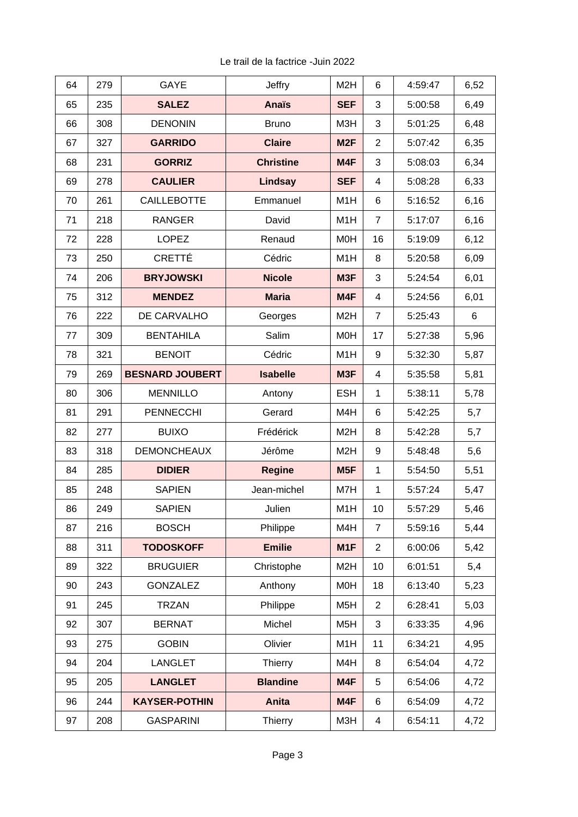| Le trail de la factrice - Juin 2022 |  |
|-------------------------------------|--|
|-------------------------------------|--|

| 64 | 279 | GAYE                   | <b>Jeffry</b>    | M <sub>2</sub> H | 6              | 4:59:47 | 6,52 |
|----|-----|------------------------|------------------|------------------|----------------|---------|------|
| 65 | 235 | <b>SALEZ</b>           | <b>Anaïs</b>     | <b>SEF</b>       | 3              | 5:00:58 | 6,49 |
| 66 | 308 | <b>DENONIN</b>         | <b>Bruno</b>     | M3H              | 3              | 5:01:25 | 6,48 |
| 67 | 327 | <b>GARRIDO</b>         | <b>Claire</b>    | M <sub>2F</sub>  | $\overline{c}$ | 5:07:42 | 6,35 |
| 68 | 231 | <b>GORRIZ</b>          | <b>Christine</b> | M4F              | 3              | 5:08:03 | 6,34 |
| 69 | 278 | <b>CAULIER</b>         | Lindsay          | <b>SEF</b>       | 4              | 5:08:28 | 6,33 |
| 70 | 261 | <b>CAILLEBOTTE</b>     | Emmanuel         | M1H              | 6              | 5:16:52 | 6,16 |
| 71 | 218 | <b>RANGER</b>          | David            | M1H              | $\overline{7}$ | 5:17:07 | 6,16 |
| 72 | 228 | <b>LOPEZ</b>           | Renaud           | M <sub>O</sub> H | 16             | 5:19:09 | 6,12 |
| 73 | 250 | CRETTÉ                 | Cédric           | M1H              | 8              | 5:20:58 | 6,09 |
| 74 | 206 | <b>BRYJOWSKI</b>       | <b>Nicole</b>    | M3F              | 3              | 5:24:54 | 6,01 |
| 75 | 312 | <b>MENDEZ</b>          | <b>Maria</b>     | M4F              | 4              | 5:24:56 | 6,01 |
| 76 | 222 | DE CARVALHO            | Georges          | M <sub>2</sub> H | $\overline{7}$ | 5:25:43 | 6    |
| 77 | 309 | <b>BENTAHILA</b>       | Salim            | M <sub>O</sub> H | 17             | 5:27:38 | 5,96 |
| 78 | 321 | <b>BENOIT</b>          | Cédric           | M1H              | 9              | 5:32:30 | 5,87 |
| 79 | 269 | <b>BESNARD JOUBERT</b> | <b>Isabelle</b>  | M3F              | 4              | 5:35:58 | 5,81 |
| 80 | 306 | <b>MENNILLO</b>        | Antony           | <b>ESH</b>       | $\mathbf{1}$   | 5:38:11 | 5,78 |
| 81 | 291 | <b>PENNECCHI</b>       | Gerard           | M4H              | 6              | 5:42:25 | 5,7  |
| 82 | 277 | <b>BUIXO</b>           | Frédérick        | M <sub>2</sub> H | 8              | 5:42:28 | 5,7  |
| 83 | 318 | <b>DEMONCHEAUX</b>     | Jérôme           | M <sub>2</sub> H | 9              | 5:48:48 | 5,6  |
| 84 | 285 | <b>DIDIER</b>          | <b>Regine</b>    | M5F              | $\mathbf{1}$   | 5:54:50 | 5,51 |
| 85 | 248 | <b>SAPIEN</b>          | Jean-michel      | M7H              | $\mathbf{1}$   | 5:57:24 | 5,47 |
| 86 | 249 | <b>SAPIEN</b>          | Julien           | M1H              | 10             | 5:57:29 | 5,46 |
| 87 | 216 | <b>BOSCH</b>           | Philippe         | M4H              | $\overline{7}$ | 5:59:16 | 5,44 |
| 88 | 311 | <b>TODOSKOFF</b>       | <b>Emilie</b>    | M1F              | $\overline{c}$ | 6:00:06 | 5,42 |
| 89 | 322 | <b>BRUGUIER</b>        | Christophe       | M <sub>2</sub> H | 10             | 6:01:51 | 5,4  |
| 90 | 243 | <b>GONZALEZ</b>        | Anthony          | <b>MOH</b>       | 18             | 6:13:40 | 5,23 |
| 91 | 245 | <b>TRZAN</b>           | Philippe         | M <sub>5</sub> H | $\overline{c}$ | 6:28:41 | 5,03 |
| 92 | 307 | <b>BERNAT</b>          | Michel           | M <sub>5</sub> H | 3              | 6:33:35 | 4,96 |
| 93 | 275 | <b>GOBIN</b>           | Olivier          | M1H              | 11             | 6:34:21 | 4,95 |
| 94 | 204 | <b>LANGLET</b>         | Thierry          | M4H              | 8              | 6:54:04 | 4,72 |
| 95 | 205 | <b>LANGLET</b>         | <b>Blandine</b>  | M4F              | 5              | 6:54:06 | 4,72 |
| 96 | 244 | <b>KAYSER-POTHIN</b>   | Anita            | M4F              | 6              | 6:54:09 | 4,72 |
| 97 | 208 | <b>GASPARINI</b>       | Thierry          | M3H              | 4              | 6:54:11 | 4,72 |
|    |     |                        |                  |                  |                |         |      |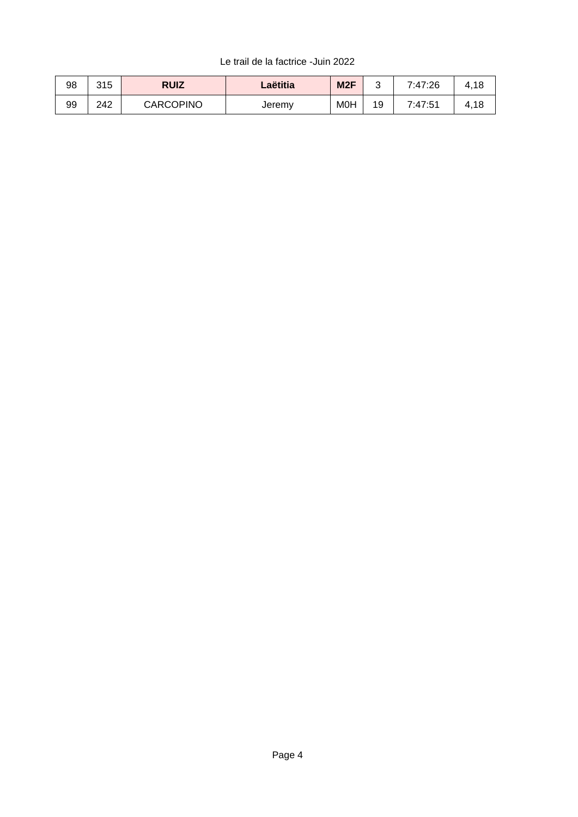### Le trail de la factrice -Juin 2022

| 98 | 315 | <b>RUIZ</b>      | Laëtitia | M <sub>2F</sub> |    | 7:47:26 |      |
|----|-----|------------------|----------|-----------------|----|---------|------|
| 99 | 242 | <b>CARCOPINO</b> | Jeremy   | M0H             | 19 | 7:47:51 | 4,16 |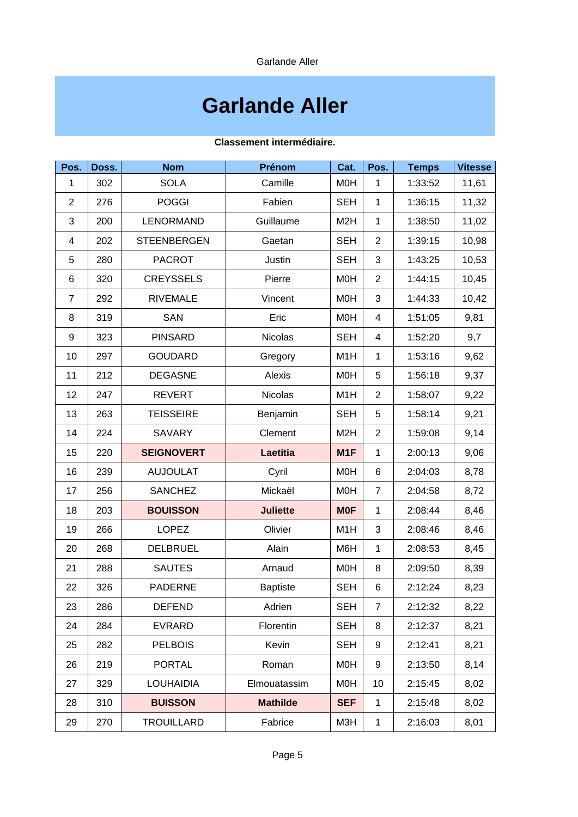# **Garlande Aller**

### **Classement intermédiaire.**

| Pos.           | Doss. | <b>Nom</b>         | Prénom          | Cat.             | Pos.           | <b>Temps</b> | <b>Vitesse</b> |
|----------------|-------|--------------------|-----------------|------------------|----------------|--------------|----------------|
| 1              | 302   | <b>SOLA</b>        | Camille         | M <sub>O</sub> H | $\mathbf{1}$   | 1:33:52      | 11,61          |
| $\overline{c}$ | 276   | <b>POGGI</b>       | Fabien          | <b>SEH</b>       | $\mathbf{1}$   | 1:36:15      | 11,32          |
| 3              | 200   | <b>LENORMAND</b>   | Guillaume       | M <sub>2</sub> H | $\mathbf{1}$   | 1:38:50      | 11,02          |
| 4              | 202   | <b>STEENBERGEN</b> | Gaetan          | <b>SEH</b>       | $\overline{2}$ | 1:39:15      | 10,98          |
| 5              | 280   | <b>PACROT</b>      | <b>Justin</b>   | <b>SEH</b>       | 3              | 1:43:25      | 10,53          |
| $\,6$          | 320   | <b>CREYSSELS</b>   | Pierre          | M <sub>O</sub> H | $\overline{c}$ | 1:44:15      | 10,45          |
| $\overline{7}$ | 292   | <b>RIVEMALE</b>    | Vincent         | M0H              | 3              | 1:44:33      | 10,42          |
| 8              | 319   | <b>SAN</b>         | Eric            | M <sub>O</sub> H | 4              | 1:51:05      | 9,81           |
| 9              | 323   | <b>PINSARD</b>     | Nicolas         | <b>SEH</b>       | 4              | 1:52:20      | 9,7            |
| 10             | 297   | <b>GOUDARD</b>     | Gregory         | M1H              | $\mathbf{1}$   | 1:53:16      | 9,62           |
| 11             | 212   | <b>DEGASNE</b>     | Alexis          | M <sub>O</sub> H | 5              | 1:56:18      | 9,37           |
| 12             | 247   | <b>REVERT</b>      | <b>Nicolas</b>  | M1H              | $\overline{c}$ | 1:58:07      | 9,22           |
| 13             | 263   | <b>TEISSEIRE</b>   | Benjamin        | <b>SEH</b>       | 5              | 1:58:14      | 9,21           |
| 14             | 224   | <b>SAVARY</b>      | Clement         | M <sub>2</sub> H | $\overline{c}$ | 1:59:08      | 9,14           |
| 15             | 220   | <b>SEIGNOVERT</b>  | <b>Laetitia</b> | M1F              | $\mathbf{1}$   | 2:00:13      | 9,06           |
| 16             | 239   | <b>AUJOULAT</b>    | Cyril           | M <sub>O</sub> H | 6              | 2:04:03      | 8,78           |
| 17             | 256   | <b>SANCHEZ</b>     | Mickaël         | M <sub>O</sub> H | $\overline{7}$ | 2:04:58      | 8,72           |
| 18             | 203   | <b>BOUISSON</b>    | <b>Juliette</b> | <b>MOF</b>       | $\mathbf{1}$   | 2:08:44      | 8,46           |
| 19             | 266   | LOPEZ              | Olivier         | M1H              | 3              | 2:08:46      | 8,46           |
| 20             | 268   | <b>DELBRUEL</b>    | Alain           | M6H              | $\mathbf{1}$   | 2:08:53      | 8,45           |
| 21             | 288   | <b>SAUTES</b>      | Arnaud          | M <sub>O</sub> H | 8              | 2:09:50      | 8,39           |
| 22             | 326   | <b>PADERNE</b>     | <b>Baptiste</b> | <b>SEH</b>       | 6              | 2:12:24      | 8,23           |
| 23             | 286   | <b>DEFEND</b>      | Adrien          | <b>SEH</b>       | $\overline{7}$ | 2:12:32      | 8,22           |
| 24             | 284   | <b>EVRARD</b>      | Florentin       | <b>SEH</b>       | 8              | 2:12:37      | 8,21           |
| 25             | 282   | <b>PELBOIS</b>     | Kevin           | <b>SEH</b>       | 9              | 2:12:41      | 8,21           |
| 26             | 219   | <b>PORTAL</b>      | Roman           | <b>MOH</b>       | 9              | 2:13:50      | 8,14           |
| 27             | 329   | <b>LOUHAIDIA</b>   | Elmouatassim    | M0H              | 10             | 2:15:45      | 8,02           |
| 28             | 310   | <b>BUISSON</b>     | <b>Mathilde</b> | <b>SEF</b>       | $\mathbf{1}$   | 2:15:48      | 8,02           |
| 29             | 270   | <b>TROUILLARD</b>  | Fabrice         | M3H              | $\mathbf{1}$   | 2:16:03      | 8,01           |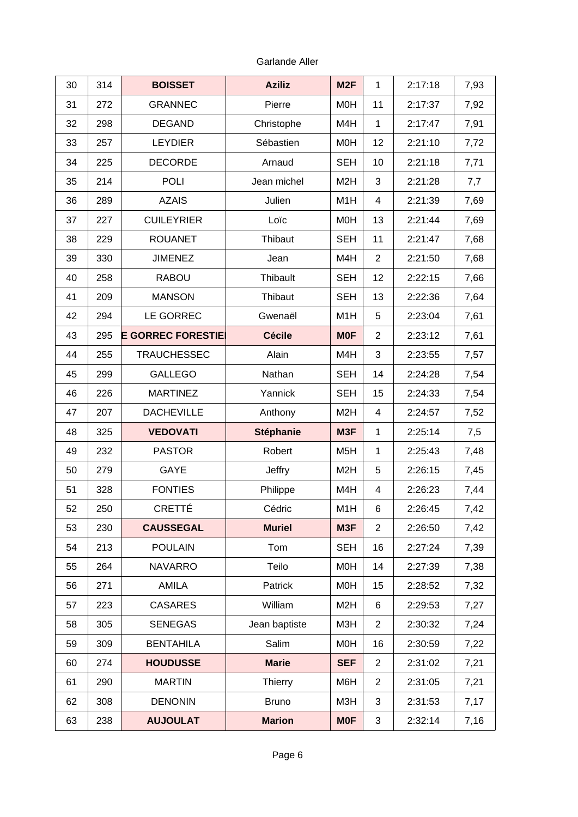| 30 | 314 | <b>BOISSET</b>           | <b>Aziliz</b>    | M <sub>2F</sub>  | $\mathbf{1}$   | 2:17:18 | 7,93 |
|----|-----|--------------------------|------------------|------------------|----------------|---------|------|
| 31 | 272 | <b>GRANNEC</b>           | Pierre           | M <sub>O</sub> H | 11             | 2:17:37 | 7,92 |
| 32 | 298 | <b>DEGAND</b>            | Christophe       | M4H              | $\mathbf{1}$   | 2:17:47 | 7,91 |
| 33 | 257 | <b>LEYDIER</b>           | Sébastien        | M <sub>O</sub> H | 12             | 2:21:10 | 7,72 |
| 34 | 225 | <b>DECORDE</b>           | Arnaud           | <b>SEH</b>       | 10             | 2:21:18 | 7,71 |
| 35 | 214 | <b>POLI</b>              | Jean michel      | M <sub>2</sub> H | 3              | 2:21:28 | 7,7  |
| 36 | 289 | <b>AZAIS</b>             | Julien           | M1H              | 4              | 2:21:39 | 7,69 |
| 37 | 227 | <b>CUILEYRIER</b>        | Loïc             | M <sub>O</sub> H | 13             | 2:21:44 | 7,69 |
| 38 | 229 | <b>ROUANET</b>           | Thibaut          | <b>SEH</b>       | 11             | 2:21:47 | 7,68 |
| 39 | 330 | <b>JIMENEZ</b>           | Jean             | M4H              | $\overline{c}$ | 2:21:50 | 7,68 |
| 40 | 258 | <b>RABOU</b>             | Thibault         | <b>SEH</b>       | 12             | 2:22:15 | 7,66 |
| 41 | 209 | <b>MANSON</b>            | Thibaut          | <b>SEH</b>       | 13             | 2:22:36 | 7,64 |
| 42 | 294 | LE GORREC                | Gwenaël          | M1H              | 5              | 2:23:04 | 7,61 |
| 43 | 295 | <b>E GORREC FORESTIE</b> | <b>Cécile</b>    | <b>MOF</b>       | $\overline{c}$ | 2:23:12 | 7,61 |
| 44 | 255 | <b>TRAUCHESSEC</b>       | Alain            | M4H              | 3              | 2:23:55 | 7,57 |
| 45 | 299 | <b>GALLEGO</b>           | Nathan           | <b>SEH</b>       | 14             | 2:24:28 | 7,54 |
| 46 | 226 | <b>MARTINEZ</b>          | Yannick          | <b>SEH</b>       | 15             | 2:24:33 | 7,54 |
| 47 | 207 | <b>DACHEVILLE</b>        | Anthony          | M <sub>2</sub> H | 4              | 2:24:57 | 7,52 |
| 48 | 325 | <b>VEDOVATI</b>          | <b>Stéphanie</b> | M3F              | $\mathbf{1}$   | 2:25:14 | 7,5  |
| 49 | 232 | <b>PASTOR</b>            | Robert           | M <sub>5</sub> H | $\mathbf{1}$   | 2:25:43 | 7,48 |
| 50 | 279 | GAYE                     | <b>Jeffry</b>    | M <sub>2</sub> H | 5              | 2:26:15 | 7,45 |
| 51 | 328 | <b>FONTIES</b>           | Philippe         | M4H              | 4              | 2:26:23 | 7,44 |
| 52 | 250 | CRETTÉ                   | Cédric           | M1H              | 6              | 2:26:45 | 7,42 |
| 53 | 230 | <b>CAUSSEGAL</b>         | <b>Muriel</b>    | M3F              | $\overline{2}$ | 2:26:50 | 7,42 |
| 54 | 213 | <b>POULAIN</b>           | Tom              | <b>SEH</b>       | 16             | 2:27:24 | 7,39 |
| 55 | 264 | <b>NAVARRO</b>           | Teilo            | M0H              | 14             | 2:27:39 | 7,38 |
| 56 | 271 | AMILA                    | Patrick          | <b>MOH</b>       | 15             | 2:28:52 | 7,32 |
| 57 | 223 | <b>CASARES</b>           | William          | M <sub>2</sub> H | 6              | 2:29:53 | 7,27 |
| 58 | 305 | <b>SENEGAS</b>           | Jean baptiste    | M3H              | 2              | 2:30:32 | 7,24 |
| 59 | 309 | <b>BENTAHILA</b>         | Salim            | M0H              | 16             | 2:30:59 | 7,22 |
| 60 | 274 | <b>HOUDUSSE</b>          | <b>Marie</b>     | <b>SEF</b>       | $\overline{2}$ | 2:31:02 | 7,21 |
| 61 | 290 | <b>MARTIN</b>            | Thierry          | M6H              | $\overline{2}$ | 2:31:05 | 7,21 |
| 62 | 308 | <b>DENONIN</b>           | <b>Bruno</b>     | M3H              | 3              | 2:31:53 | 7,17 |
| 63 | 238 | <b>AUJOULAT</b>          | <b>Marion</b>    | <b>MOF</b>       | 3              | 2:32:14 | 7,16 |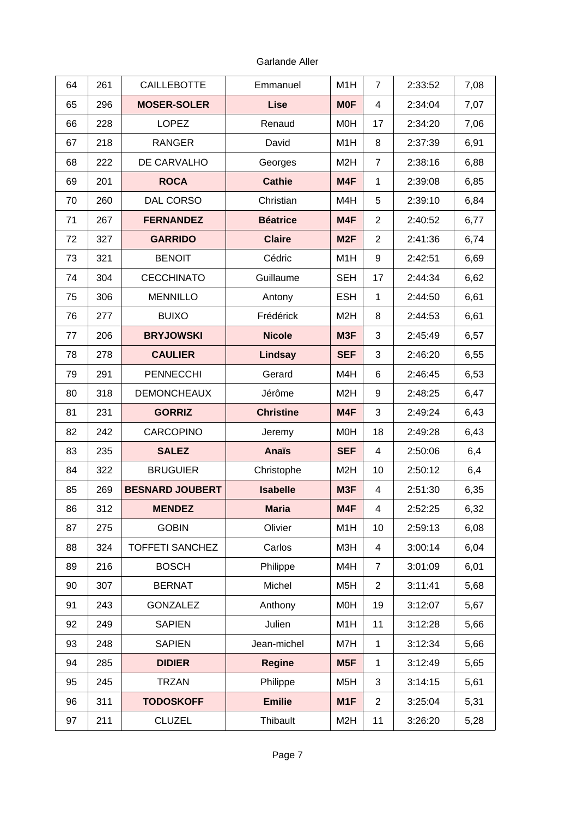| 64 | 261 | <b>CAILLEBOTTE</b>     | Emmanuel         | M1H              | 7              | 2:33:52 | 7,08 |
|----|-----|------------------------|------------------|------------------|----------------|---------|------|
| 65 | 296 | <b>MOSER-SOLER</b>     | <b>Lise</b>      | <b>MOF</b>       | 4              | 2:34:04 | 7,07 |
| 66 | 228 | <b>LOPEZ</b>           | Renaud           | M <sub>O</sub> H | 17             | 2:34:20 | 7,06 |
| 67 | 218 | <b>RANGER</b>          | David            | M1H              | 8              | 2:37:39 | 6,91 |
| 68 | 222 | DE CARVALHO            | Georges          | M <sub>2</sub> H | $\overline{7}$ | 2:38:16 | 6,88 |
| 69 | 201 | <b>ROCA</b>            | <b>Cathie</b>    | M4F              | $\mathbf{1}$   | 2:39:08 | 6,85 |
| 70 | 260 | <b>DAL CORSO</b>       | Christian        | M4H              | 5              | 2:39:10 | 6,84 |
| 71 | 267 | <b>FERNANDEZ</b>       | <b>Béatrice</b>  | M4F              | $\overline{c}$ | 2:40:52 | 6,77 |
| 72 | 327 | <b>GARRIDO</b>         | <b>Claire</b>    | M <sub>2F</sub>  | $\overline{c}$ | 2:41:36 | 6,74 |
| 73 | 321 | <b>BENOIT</b>          | Cédric           | M1H              | 9              | 2:42:51 | 6,69 |
| 74 | 304 | <b>CECCHINATO</b>      | Guillaume        | <b>SEH</b>       | 17             | 2:44:34 | 6,62 |
| 75 | 306 | <b>MENNILLO</b>        | Antony           | <b>ESH</b>       | $\mathbf{1}$   | 2:44:50 | 6,61 |
| 76 | 277 | <b>BUIXO</b>           | Frédérick        | M <sub>2</sub> H | 8              | 2:44:53 | 6,61 |
| 77 | 206 | <b>BRYJOWSKI</b>       | <b>Nicole</b>    | M3F              | 3              | 2:45:49 | 6,57 |
| 78 | 278 | <b>CAULIER</b>         | Lindsay          | <b>SEF</b>       | 3              | 2:46:20 | 6,55 |
| 79 | 291 | <b>PENNECCHI</b>       | Gerard           | M4H              | 6              | 2:46:45 | 6,53 |
| 80 | 318 | <b>DEMONCHEAUX</b>     | Jérôme           | M <sub>2</sub> H | 9              | 2:48:25 | 6,47 |
| 81 | 231 | <b>GORRIZ</b>          | <b>Christine</b> | M4F              | 3              | 2:49:24 | 6,43 |
| 82 | 242 | <b>CARCOPINO</b>       | Jeremy           | <b>MOH</b>       | 18             | 2:49:28 | 6,43 |
| 83 | 235 | <b>SALEZ</b>           | <b>Anaïs</b>     | <b>SEF</b>       | 4              | 2:50:06 | 6,4  |
| 84 | 322 | <b>BRUGUIER</b>        | Christophe       | M <sub>2</sub> H | 10             | 2:50:12 | 6,4  |
| 85 | 269 | <b>BESNARD JOUBERT</b> | <b>Isabelle</b>  | M3F              | 4              | 2:51:30 | 6,35 |
| 86 | 312 | <b>MENDEZ</b>          | <b>Maria</b>     | M4F              | $\overline{4}$ | 2:52:25 | 6,32 |
| 87 | 275 | <b>GOBIN</b>           | Olivier          | M1H              | 10             | 2:59:13 | 6,08 |
| 88 | 324 | <b>TOFFETI SANCHEZ</b> | Carlos           | M3H              | $\overline{4}$ | 3:00:14 | 6,04 |
| 89 | 216 | <b>BOSCH</b>           | Philippe         | M4H              | $\overline{7}$ | 3:01:09 | 6,01 |
| 90 | 307 | <b>BERNAT</b>          | Michel           | M5H              | $\overline{c}$ | 3:11:41 | 5,68 |
| 91 | 243 | <b>GONZALEZ</b>        | Anthony          | M0H              | 19             | 3:12:07 | 5,67 |
| 92 | 249 | <b>SAPIEN</b>          | Julien           | M1H              | 11             | 3:12:28 | 5,66 |
| 93 | 248 | <b>SAPIEN</b>          | Jean-michel      | M7H              | $\mathbf{1}$   | 3:12:34 | 5,66 |
| 94 | 285 | <b>DIDIER</b>          | Regine           | M5F              | $\mathbf{1}$   | 3:12:49 | 5,65 |
| 95 | 245 | <b>TRZAN</b>           | Philippe         | M <sub>5</sub> H | 3              | 3:14:15 | 5,61 |
| 96 | 311 | <b>TODOSKOFF</b>       | <b>Emilie</b>    | M1F              | $\overline{2}$ | 3:25:04 | 5,31 |
| 97 | 211 | <b>CLUZEL</b>          | Thibault         | M <sub>2</sub> H | 11             | 3:26:20 | 5,28 |